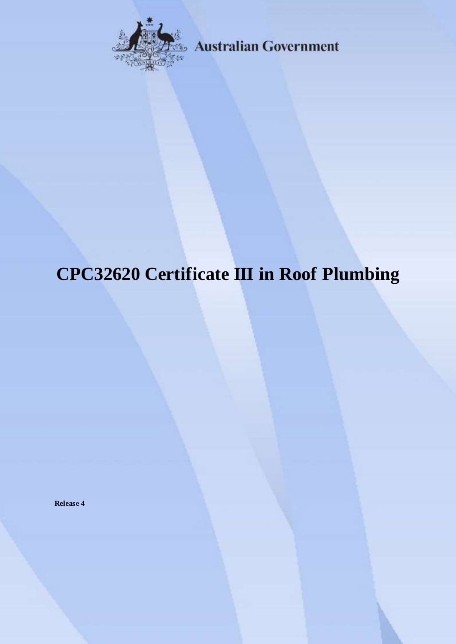

**Australian Government** 

# **CPC32620 Certificate III in Roof Plumbing**

**Release 4**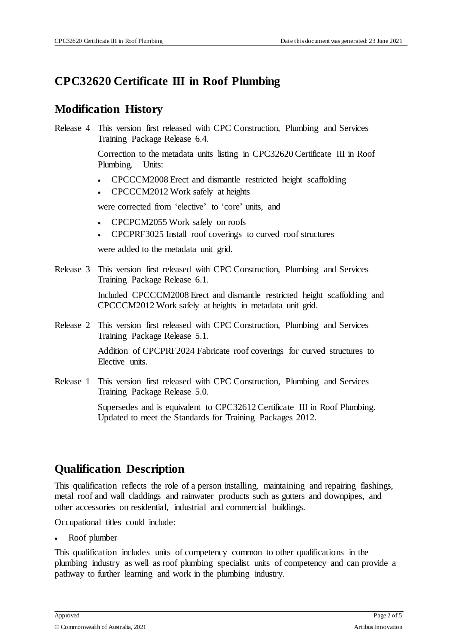## **CPC32620 Certificate III in Roof Plumbing**

#### **Modification History**

Release 4 This version first released with CPC Construction, Plumbing and Services Training Package Release 6.4.

> Correction to the metadata units listing in CPC32620 Certificate III in Roof Plumbing. Units:

- CPCCCM2008 Erect and dismantle restricted height scaffolding
- CPCCCM2012 Work safely at heights

were corrected from 'elective' to 'core' units, and

- CPCPCM2055 Work safely on roofs
- CPCPRF3025 Install roof coverings to curved roof structures

were added to the metadata unit grid.

Release 3 This version first released with CPC Construction, Plumbing and Services Training Package Release 6.1.

> Included CPCCCM2008 Erect and dismantle restricted height scaffolding and CPCCCM2012 Work safely at heights in metadata unit grid.

Release 2 This version first released with CPC Construction, Plumbing and Services Training Package Release 5.1.

> Addition of CPCPRF2024 Fabricate roof coverings for curved structures to Elective units.

Release 1 This version first released with CPC Construction, Plumbing and Services Training Package Release 5.0.

> Supersedes and is equivalent to CPC32612 Certificate III in Roof Plumbing. Updated to meet the Standards for Training Packages 2012.

#### **Qualification Description**

This qualification reflects the role of a person installing, maintaining and repairing flashings, metal roof and wall claddings and rainwater products such as gutters and downpipes, and other accessories on residential, industrial and commercial buildings.

Occupational titles could include:

Roof plumber

This qualification includes units of competency common to other qualifications in the plumbing industry as well as roof plumbing specialist units of competency and can provide a pathway to further learning and work in the plumbing industry.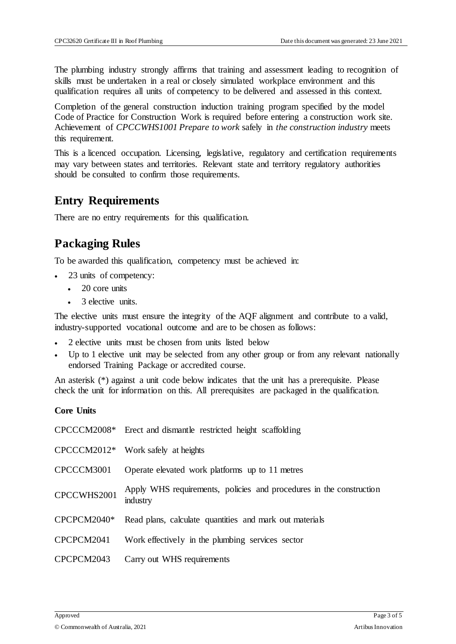The plumbing industry strongly affirms that training and assessment leading to recognition of skills must be undertaken in a real or closely simulated workplace environment and this qualification requires all units of competency to be delivered and assessed in this context.

Completion of the general construction induction training program specified by the model Code of Practice for Construction Work is required before entering a construction work site. Achievement of *CPCCWHS1001 Prepare to work* safely in *the construction industry* meets this requirement.

This is a licenced occupation. Licensing, legislative, regulatory and certification requirements may vary between states and territories. Relevant state and territory regulatory authorities should be consulted to confirm those requirements.

#### **Entry Requirements**

There are no entry requirements for this qualification.

## **Packaging Rules**

To be awarded this qualification, competency must be achieved in:

- 23 units of competency:
	- $\cdot$  20 core units
	- 3 elective units.

The elective units must ensure the integrity of the AQF alignment and contribute to a valid, industry-supported vocational outcome and are to be chosen as follows:

- 2 elective units must be chosen from units listed below
- Up to 1 elective unit may be selected from any other group or from any relevant nationally endorsed Training Package or accredited course.

An asterisk (\*) against a unit code below indicates that the unit has a prerequisite. Please check the unit for information on this. All prerequisites are packaged in the qualification.

#### **Core Units**

|             | CPCCCM2008* Erect and dismantle restricted height scaffolding                   |
|-------------|---------------------------------------------------------------------------------|
|             | $CPCCCM2012*$ Work safely at heights                                            |
| CPCCCM3001  | Operate elevated work platforms up to 11 metres                                 |
| CPCCWHS2001 | Apply WHS requirements, policies and procedures in the construction<br>industry |
| CPCPCM2040* | Read plans, calculate quantities and mark out materials                         |
| CPCPCM2041  | Work effectively in the plumbing services sector                                |
| CPCPCM2043  | Carry out WHS requirements                                                      |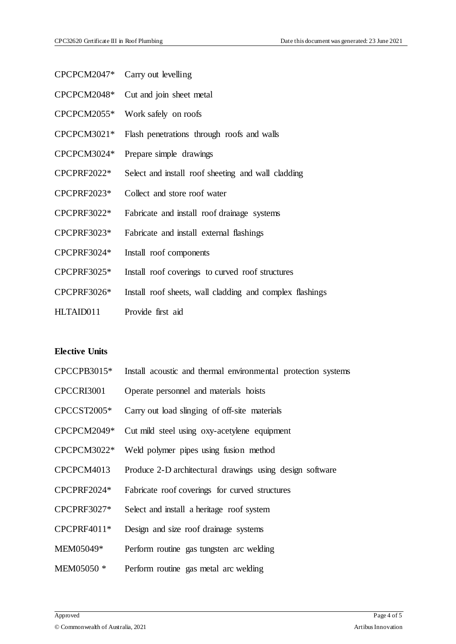| CPCPCM2047* | Carry out levelling |
|-------------|---------------------|
|-------------|---------------------|

- CPCPCM2048\* Cut and join sheet metal
- CPCPCM2055\* Work safely on roofs
- CPCPCM3021\* Flash penetrations through roofs and walls
- CPCPCM3024\* Prepare simple drawings
- CPCPRF2022\* Select and install roof sheeting and wall cladding
- CPCPRF2023\* Collect and store roof water
- CPCPRF3022\* Fabricate and install roof drainage systems
- CPCPRF3023\* Fabricate and install external flashings
- CPCPRF3024\* Install roof components
- CPCPRF3025\* Install roof coverings to curved roof structures
- CPCPRF3026\* Install roof sheets, wall cladding and complex flashings
- HLTAID011 Provide first aid

#### **Elective Units**

- CPCCPB3015\* Install acoustic and thermal environmental protection systems
- CPCCRI3001 Operate personnel and materials hoists
- CPCCST2005\* Carry out load slinging of off-site materials
- CPCPCM2049\* Cut mild steel using oxy-acetylene equipment
- CPCPCM3022\* Weld polymer pipes using fusion method
- CPCPCM4013 Produce 2-D architectural drawings using design software
- CPCPRF2024\* Fabricate roof coverings for curved structures
- CPCPRF3027\* Select and install a heritage roof system
- CPCPRF4011\* Design and size roof drainage systems
- MEM05049\* Perform routine gas tungsten arc welding
- MEM05050 \* Perform routine gas metal arc welding